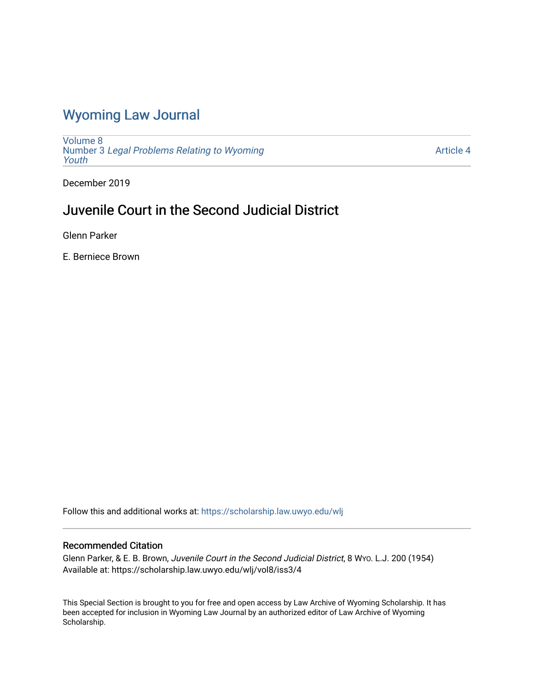## [Wyoming Law Journal](https://scholarship.law.uwyo.edu/wlj)

[Volume 8](https://scholarship.law.uwyo.edu/wlj/vol8) Number 3 [Legal Problems Relating to Wyoming](https://scholarship.law.uwyo.edu/wlj/vol8/iss3) [Youth](https://scholarship.law.uwyo.edu/wlj/vol8/iss3)

[Article 4](https://scholarship.law.uwyo.edu/wlj/vol8/iss3/4) 

December 2019

## Juvenile Court in the Second Judicial District

Glenn Parker

E. Berniece Brown

Follow this and additional works at: [https://scholarship.law.uwyo.edu/wlj](https://scholarship.law.uwyo.edu/wlj?utm_source=scholarship.law.uwyo.edu%2Fwlj%2Fvol8%2Fiss3%2F4&utm_medium=PDF&utm_campaign=PDFCoverPages) 

## Recommended Citation

Glenn Parker, & E. B. Brown, Juvenile Court in the Second Judicial District, 8 WYO. L.J. 200 (1954) Available at: https://scholarship.law.uwyo.edu/wlj/vol8/iss3/4

This Special Section is brought to you for free and open access by Law Archive of Wyoming Scholarship. It has been accepted for inclusion in Wyoming Law Journal by an authorized editor of Law Archive of Wyoming Scholarship.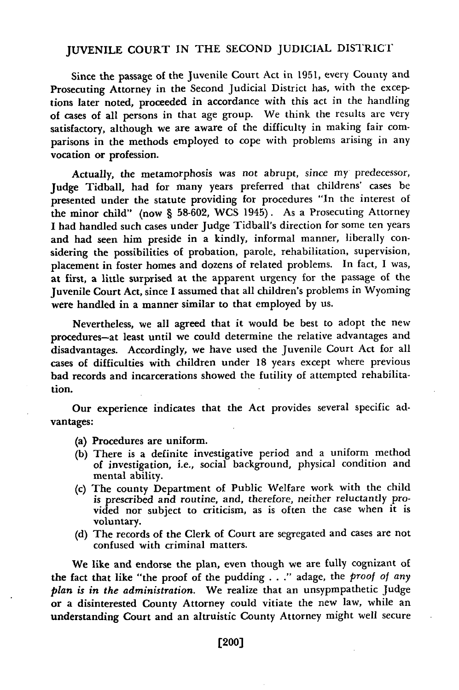## **JUVENILE COURT IN** THE SECOND JUDICIAL DISTRICT

Since the passage of the Juvenile Court Act in **1951,** every County and Prosecuting Attorney in the Second Judicial District has, with the exceptions later noted, proceeded in accordance with this act in the handling of cases of all persons in that age group. We think the results are very satisfactory, although we are aware of the difficulty in making fair comparisons in the methods employed to cope with problems arising in any vocation or profession.

Actually, the metamorphosis was not abrupt, since my predecessor, Judge Tidball, had for many years preferred that childrens' cases be presented under the statute providing for procedures "In the interest of the minor child" (now § **58-602,** WCS 1945). As a Prosecuting Attorney **I** had handled such cases under Judge Tidball's direction for some ten years and had seen him preside in a kindly, informal manner, liberally considering the possibilities of probation, parole, rehabilitation, supervision, placement in foster homes and dozens of related problems. In fact, **I** was, at first, a little surprised at the apparent urgency for the passage of the Juvenile Court Act, since **I** assumed that all children's problems in Wyoming were handled in a manner similar to that employed **by** us.

Nevertheless, we all agreed that it would be best to adopt the new procedures-at least until we could determine the relative advantages and disadvantages. Accordingly, we have used the Juvenile Court Act for all cases of difficulties with children under **18** years except where previous bad records and incarcerations showed the futility of attempted rehabilitation.

Our experience indicates that the Act provides several specific advantages:

- (a) Procedures are uniform.
- **(b)** There is a definite investigative period and a uniform method of investigation, i.e., social background, physical condition and mental ability.
- (c) The county Department of Public Welfare work with the child is prescribed and routine, and, therefore, neither reluctantly provided nor subject to criticism, as is often the case when it is voluntary.
- **(d)** The records of the Clerk of Court are segregated and cases are not confused with criminal matters.

We like and endorse the plan, even though we are fully cognizant of the fact that like "the proof of the pudding **. . ."** adage, the *proof of any plan is in the administration.* We realize that an unsypmpathetic Judge or a disinterested County Attorney could vitiate the new law, while an understanding Court and an altruistic County Attorney might well secure